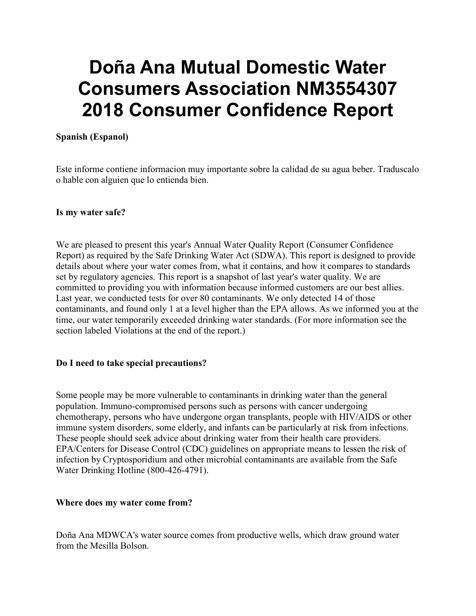# **Doña Ana Mutual Domestic Water Consumers Association NM3554307 2018 Consumer Confidence Report**

## **Spanish (Espanol)**

Este informe contiene informacion muy importante sobre la calidad de su agua beber. Traduscalo o hable con alguien que lo entienda bien.

#### **Is my water safe?**

We are pleased to present this year's Annual Water Quality Report (Consumer Confidence Report) as required by the Safe Drinking Water Act (SDWA). This report is designed to provide details about where your water comes from, what it contains, and how it compares to standards set by regulatory agencies. This report is a snapshot of last year's water quality. We are committed to providing you with information because informed customers are our best allies. Last year, we conducted tests for over 80 contaminants. We only detected 14 of those contaminants, and found only 1 at a level higher than the EPA allows. As we informed you at the time, our water temporarily exceeded drinking water standards. (For more information see the section labeled Violations at the end of the report.)

#### **Do I need to take special precautions?**

Some people may be more vulnerable to contaminants in drinking water than the general population. Immuno-compromised persons such as persons with cancer undergoing chemotherapy, persons who have undergone organ transplants, people with HIV/AIDS or other immune system disorders, some elderly, and infants can be particularly at risk from infections. These people should seek advice about drinking water from their health care providers. EPA/Centers for Disease Control (CDC) guidelines on appropriate means to lessen the risk of infection by Cryptosporidium and other microbial contaminants are available from the Safe Water Drinking Hotline (800-426-4791).

#### **Where does my water come from?**

Doña Ana MDWCA's water source comes from productive wells, which draw ground water from the Mesilla Bolson.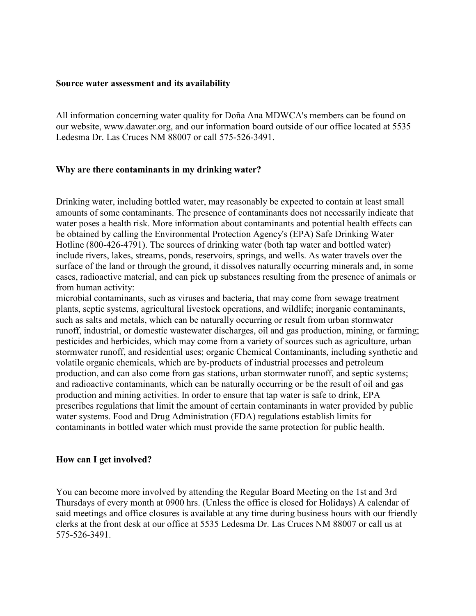#### **Source water assessment and its availability**

All information concerning water quality for Doña Ana MDWCA's members can be found on our website, www.dawater.org, and our information board outside of our office located at 5535 Ledesma Dr. Las Cruces NM 88007 or call 575-526-3491.

#### **Why are there contaminants in my drinking water?**

Drinking water, including bottled water, may reasonably be expected to contain at least small amounts of some contaminants. The presence of contaminants does not necessarily indicate that water poses a health risk. More information about contaminants and potential health effects can be obtained by calling the Environmental Protection Agency's (EPA) Safe Drinking Water Hotline (800-426-4791). The sources of drinking water (both tap water and bottled water) include rivers, lakes, streams, ponds, reservoirs, springs, and wells. As water travels over the surface of the land or through the ground, it dissolves naturally occurring minerals and, in some cases, radioactive material, and can pick up substances resulting from the presence of animals or from human activity:

microbial contaminants, such as viruses and bacteria, that may come from sewage treatment plants, septic systems, agricultural livestock operations, and wildlife; inorganic contaminants, such as salts and metals, which can be naturally occurring or result from urban stormwater runoff, industrial, or domestic wastewater discharges, oil and gas production, mining, or farming; pesticides and herbicides, which may come from a variety of sources such as agriculture, urban stormwater runoff, and residential uses; organic Chemical Contaminants, including synthetic and volatile organic chemicals, which are by-products of industrial processes and petroleum production, and can also come from gas stations, urban stormwater runoff, and septic systems; and radioactive contaminants, which can be naturally occurring or be the result of oil and gas production and mining activities. In order to ensure that tap water is safe to drink, EPA prescribes regulations that limit the amount of certain contaminants in water provided by public water systems. Food and Drug Administration (FDA) regulations establish limits for contaminants in bottled water which must provide the same protection for public health.

#### **How can I get involved?**

You can become more involved by attending the Regular Board Meeting on the 1st and 3rd Thursdays of every month at 0900 hrs. (Unless the office is closed for Holidays) A calendar of said meetings and office closures is available at any time during business hours with our friendly clerks at the front desk at our office at 5535 Ledesma Dr. Las Cruces NM 88007 or call us at 575-526-3491.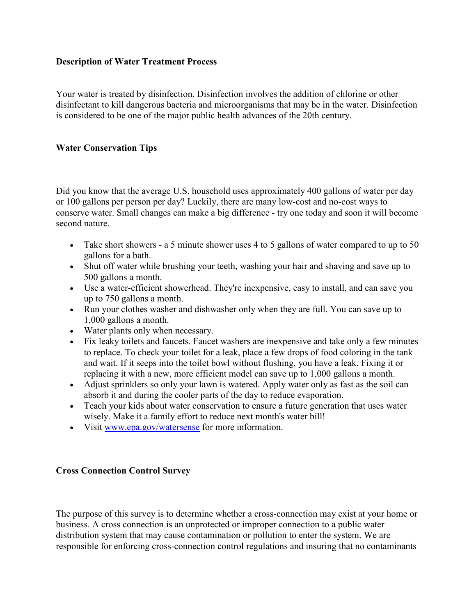# **Description of Water Treatment Process**

Your water is treated by disinfection. Disinfection involves the addition of chlorine or other disinfectant to kill dangerous bacteria and microorganisms that may be in the water. Disinfection is considered to be one of the major public health advances of the 20th century.

# **Water Conservation Tips**

Did you know that the average U.S. household uses approximately 400 gallons of water per day or 100 gallons per person per day? Luckily, there are many low-cost and no-cost ways to conserve water. Small changes can make a big difference - try one today and soon it will become second nature.

- Take short showers a 5 minute shower uses 4 to 5 gallons of water compared to up to 50 gallons for a bath.
- Shut off water while brushing your teeth, washing your hair and shaving and save up to 500 gallons a month.
- Use a water-efficient showerhead. They're inexpensive, easy to install, and can save you up to 750 gallons a month.
- Run your clothes washer and dishwasher only when they are full. You can save up to 1,000 gallons a month.
- Water plants only when necessary.
- Fix leaky toilets and faucets. Faucet washers are inexpensive and take only a few minutes to replace. To check your toilet for a leak, place a few drops of food coloring in the tank and wait. If it seeps into the toilet bowl without flushing, you have a leak. Fixing it or replacing it with a new, more efficient model can save up to 1,000 gallons a month.
- Adjust sprinklers so only your lawn is watered. Apply water only as fast as the soil can absorb it and during the cooler parts of the day to reduce evaporation.
- Teach your kids about water conservation to ensure a future generation that uses water wisely. Make it a family effort to reduce next month's water bill!
- Visit [www.epa.gov/watersense](http://www.epa.gov/watersense) for more information.

# **Cross Connection Control Survey**

The purpose of this survey is to determine whether a cross-connection may exist at your home or business. A cross connection is an unprotected or improper connection to a public water distribution system that may cause contamination or pollution to enter the system. We are responsible for enforcing cross-connection control regulations and insuring that no contaminants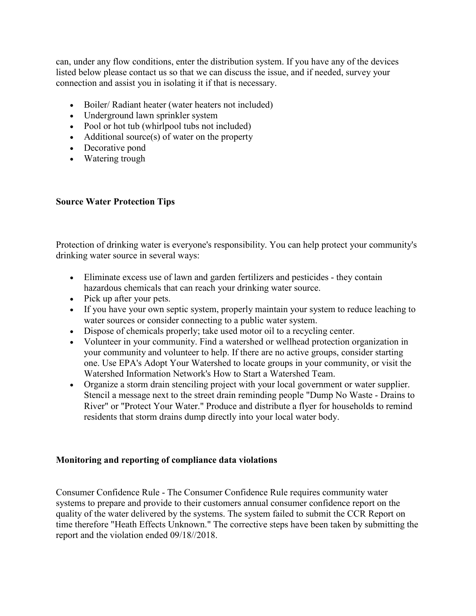can, under any flow conditions, enter the distribution system. If you have any of the devices listed below please contact us so that we can discuss the issue, and if needed, survey your connection and assist you in isolating it if that is necessary.

- Boiler/ Radiant heater (water heaters not included)
- Underground lawn sprinkler system
- Pool or hot tub (whirlpool tubs not included)
- Additional source(s) of water on the property
- Decorative pond
- Watering trough

## **Source Water Protection Tips**

Protection of drinking water is everyone's responsibility. You can help protect your community's drinking water source in several ways:

- Eliminate excess use of lawn and garden fertilizers and pesticides they contain hazardous chemicals that can reach your drinking water source.
- Pick up after your pets.
- If you have your own septic system, properly maintain your system to reduce leaching to water sources or consider connecting to a public water system.
- Dispose of chemicals properly; take used motor oil to a recycling center.
- Volunteer in your community. Find a watershed or wellhead protection organization in your community and volunteer to help. If there are no active groups, consider starting one. Use EPA's Adopt Your Watershed to locate groups in your community, or visit the Watershed Information Network's How to Start a Watershed Team.
- Organize a storm drain stenciling project with your local government or water supplier. Stencil a message next to the street drain reminding people "Dump No Waste - Drains to River" or "Protect Your Water." Produce and distribute a flyer for households to remind residents that storm drains dump directly into your local water body.

# **Monitoring and reporting of compliance data violations**

Consumer Confidence Rule - The Consumer Confidence Rule requires community water systems to prepare and provide to their customers annual consumer confidence report on the quality of the water delivered by the systems. The system failed to submit the CCR Report on time therefore "Heath Effects Unknown." The corrective steps have been taken by submitting the report and the violation ended 09/18//2018.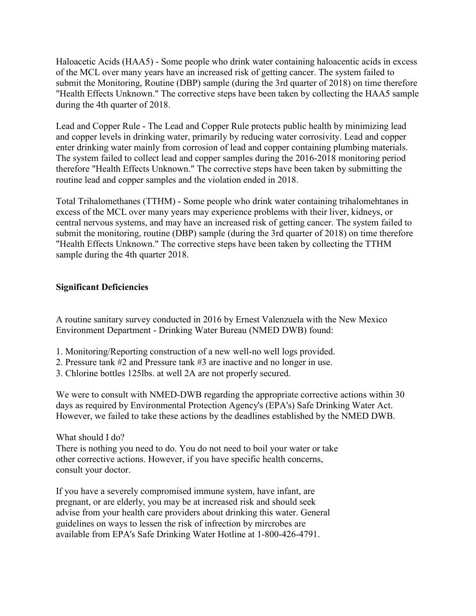Haloacetic Acids (HAA5) - Some people who drink water containing haloacentic acids in excess of the MCL over many years have an increased risk of getting cancer. The system failed to submit the Monitoring, Routine (DBP) sample (during the 3rd quarter of 2018) on time therefore "Health Effects Unknown." The corrective steps have been taken by collecting the HAA5 sample during the 4th quarter of 2018.

Lead and Copper Rule - The Lead and Copper Rule protects public health by minimizing lead and copper levels in drinking water, primarily by reducing water corrosivity. Lead and copper enter drinking water mainly from corrosion of lead and copper containing plumbing materials. The system failed to collect lead and copper samples during the 2016-2018 monitoring period therefore "Health Effects Unknown." The corrective steps have been taken by submitting the routine lead and copper samples and the violation ended in 2018.

Total Trihalomethanes (TTHM) - Some people who drink water containing trihalomehtanes in excess of the MCL over many years may experience problems with their liver, kidneys, or central nervous systems, and may have an increased risk of getting cancer. The system failed to submit the monitoring, routine (DBP) sample (during the 3rd quarter of 2018) on time therefore "Health Effects Unknown." The corrective steps have been taken by collecting the TTHM sample during the 4th quarter 2018.

# **Significant Deficiencies**

A routine sanitary survey conducted in 2016 by Ernest Valenzuela with the New Mexico Environment Department - Drinking Water Bureau (NMED DWB) found:

- 1. Monitoring/Reporting construction of a new well-no well logs provided.
- 2. Pressure tank #2 and Pressure tank #3 are inactive and no longer in use.
- 3. Chlorine bottles 125lbs. at well 2A are not properly secured.

We were to consult with NMED-DWB regarding the appropriate corrective actions within 30 days as required by Environmental Protection Agency's (EPA's) Safe Drinking Water Act. However, we failed to take these actions by the deadlines established by the NMED DWB.

What should I do? There is nothing you need to do. You do not need to boil your water or take other corrective actions. However, if you have specific health concerns, consult your doctor.

If you have a severely compromised immune system, have infant, are pregnant, or are elderly, you may be at increased risk and should seek advise from your health care providers about drinking this water. General guidelines on ways to lessen the risk of infrection by mircrobes are available from EPA's Safe Drinking Water Hotline at 1-800-426-4791.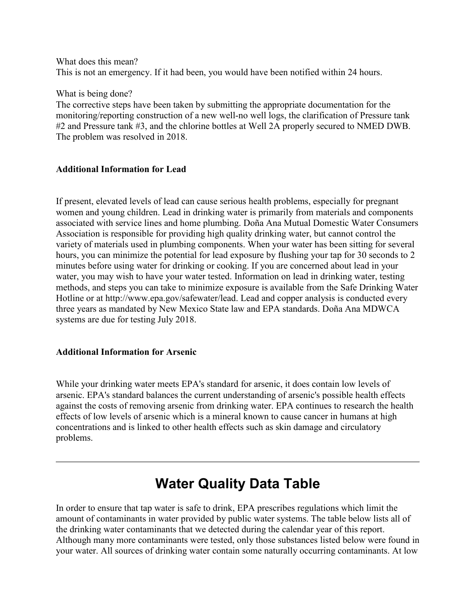What does this mean? This is not an emergency. If it had been, you would have been notified within 24 hours.

What is being done?

The corrective steps have been taken by submitting the appropriate documentation for the monitoring/reporting construction of a new well-no well logs, the clarification of Pressure tank #2 and Pressure tank #3, and the chlorine bottles at Well 2A properly secured to NMED DWB. The problem was resolved in 2018.

## **Additional Information for Lead**

If present, elevated levels of lead can cause serious health problems, especially for pregnant women and young children. Lead in drinking water is primarily from materials and components associated with service lines and home plumbing. Doña Ana Mutual Domestic Water Consumers Association is responsible for providing high quality drinking water, but cannot control the variety of materials used in plumbing components. When your water has been sitting for several hours, you can minimize the potential for lead exposure by flushing your tap for 30 seconds to 2 minutes before using water for drinking or cooking. If you are concerned about lead in your water, you may wish to have your water tested. Information on lead in drinking water, testing methods, and steps you can take to minimize exposure is available from the Safe Drinking Water Hotline or at http://www.epa.gov/safewater/lead. Lead and copper analysis is conducted every three years as mandated by New Mexico State law and EPA standards. Doña Ana MDWCA systems are due for testing July 2018.

#### **Additional Information for Arsenic**

While your drinking water meets EPA's standard for arsenic, it does contain low levels of arsenic. EPA's standard balances the current understanding of arsenic's possible health effects against the costs of removing arsenic from drinking water. EPA continues to research the health effects of low levels of arsenic which is a mineral known to cause cancer in humans at high concentrations and is linked to other health effects such as skin damage and circulatory problems.

# **Water Quality Data Table**

In order to ensure that tap water is safe to drink, EPA prescribes regulations which limit the amount of contaminants in water provided by public water systems. The table below lists all of the drinking water contaminants that we detected during the calendar year of this report. Although many more contaminants were tested, only those substances listed below were found in your water. All sources of drinking water contain some naturally occurring contaminants. At low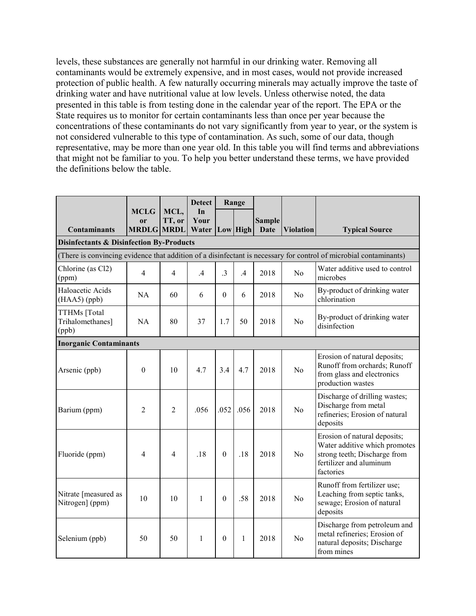levels, these substances are generally not harmful in our drinking water. Removing all contaminants would be extremely expensive, and in most cases, would not provide increased protection of public health. A few naturally occurring minerals may actually improve the taste of drinking water and have nutritional value at low levels. Unless otherwise noted, the data presented in this table is from testing done in the calendar year of the report. The EPA or the State requires us to monitor for certain contaminants less than once per year because the concentrations of these contaminants do not vary significantly from year to year, or the system is not considered vulnerable to this type of contamination. As such, some of our data, though representative, may be more than one year old. In this table you will find terms and abbreviations that might not be familiar to you. To help you better understand these terms, we have provided the definitions below the table.

|                                                     |                                                                                                                   |                | <b>Detect</b>      | Range        |               |               |                  |                                                                                                                                       |  |  |
|-----------------------------------------------------|-------------------------------------------------------------------------------------------------------------------|----------------|--------------------|--------------|---------------|---------------|------------------|---------------------------------------------------------------------------------------------------------------------------------------|--|--|
|                                                     | <b>MCLG</b><br><sub>or</sub>                                                                                      | MCL,<br>TT, or | In<br>Your         |              |               | <b>Sample</b> |                  |                                                                                                                                       |  |  |
| <b>Contaminants</b>                                 | <b>MRDLG MRDL</b>                                                                                                 |                | Water   Low   High |              |               | <b>Date</b>   | <b>Violation</b> | <b>Typical Source</b>                                                                                                                 |  |  |
| <b>Disinfectants &amp; Disinfection By-Products</b> |                                                                                                                   |                |                    |              |               |               |                  |                                                                                                                                       |  |  |
|                                                     | (There is convincing evidence that addition of a disinfectant is necessary for control of microbial contaminants) |                |                    |              |               |               |                  |                                                                                                                                       |  |  |
| Chlorine (as Cl2)<br>(ppm)                          | 4                                                                                                                 | 4              | $\mathcal{A}$      | $\cdot$ 3    | $\mathcal{A}$ | 2018          | N <sub>0</sub>   | Water additive used to control<br>microbes                                                                                            |  |  |
| Haloacetic Acids<br>(HAA5) (ppb)                    | <b>NA</b>                                                                                                         | 60             | 6                  | $\Omega$     | 6             | 2018          | N <sub>0</sub>   | By-product of drinking water<br>chlorination                                                                                          |  |  |
| TTHMs [Total<br>Trihalomethanes]<br>(ppb)           | <b>NA</b>                                                                                                         | 80             | 37                 | 1.7          | 50            | 2018          | N <sub>0</sub>   | By-product of drinking water<br>disinfection                                                                                          |  |  |
| <b>Inorganic Contaminants</b>                       |                                                                                                                   |                |                    |              |               |               |                  |                                                                                                                                       |  |  |
| Arsenic (ppb)                                       | $\theta$                                                                                                          | 10             | 4.7                | 3.4          | 4.7           | 2018          | N <sub>o</sub>   | Erosion of natural deposits;<br>Runoff from orchards; Runoff<br>from glass and electronics<br>production wastes                       |  |  |
| Barium (ppm)                                        | 2                                                                                                                 | $\overline{2}$ | .056               | .052         | .056          | 2018          | N <sub>0</sub>   | Discharge of drilling wastes;<br>Discharge from metal<br>refineries; Erosion of natural<br>deposits                                   |  |  |
| Fluoride (ppm)                                      | 4                                                                                                                 | 4              | .18                | $\theta$     | .18           | 2018          | N <sub>0</sub>   | Erosion of natural deposits;<br>Water additive which promotes<br>strong teeth; Discharge from<br>fertilizer and aluminum<br>factories |  |  |
| Nitrate [measured as<br>Nitrogen] (ppm)             | 10                                                                                                                | 10             | $\mathbf{1}$       | $\mathbf{0}$ | .58           | 2018          | N <sub>o</sub>   | Runoff from fertilizer use;<br>Leaching from septic tanks,<br>sewage; Erosion of natural<br>deposits                                  |  |  |
| Selenium (ppb)                                      | 50                                                                                                                | 50             | 1                  | $\Omega$     | 1             | 2018          | N <sub>0</sub>   | Discharge from petroleum and<br>metal refineries; Erosion of<br>natural deposits; Discharge<br>from mines                             |  |  |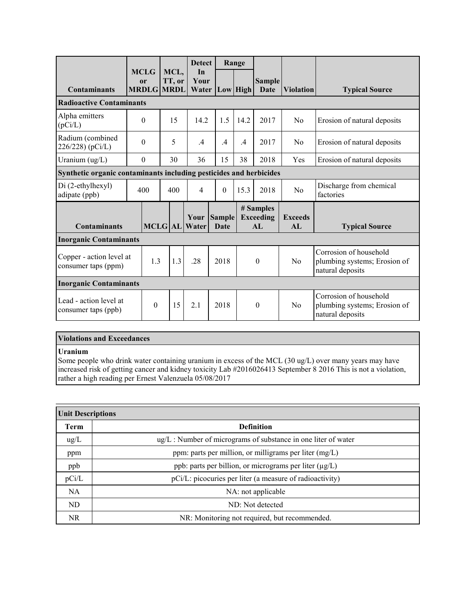|                                                                              |  |                                                   |              |                | <b>Detect</b>                |                                                                            | Range |               |                                      |                      |                                                                            |
|------------------------------------------------------------------------------|--|---------------------------------------------------|--------------|----------------|------------------------------|----------------------------------------------------------------------------|-------|---------------|--------------------------------------|----------------------|----------------------------------------------------------------------------|
| <b>Contaminants</b>                                                          |  | <b>MCLG</b><br><sub>or</sub><br><b>MRDLG MRDL</b> |              | MCL.<br>TT, or | In<br>Your<br>Water          | Low High                                                                   |       |               | <b>Sample</b><br><b>Date</b>         | <b>Violation</b>     | <b>Typical Source</b>                                                      |
| <b>Radioactive Contaminants</b>                                              |  |                                                   |              |                |                              |                                                                            |       |               |                                      |                      |                                                                            |
| Alpha emitters<br>(pCi/L)                                                    |  | $\theta$                                          |              | 15             | 14.2                         | 1.5                                                                        |       | 14.2          | 2017                                 | N <sub>0</sub>       | Erosion of natural deposits                                                |
| Radium (combined<br>226/228) (pCi/L)                                         |  | $\theta$                                          |              | 5              | $\mathcal{A}$                | $\mathcal{A}$                                                              |       | $\mathcal{A}$ | 2017                                 | N <sub>0</sub>       | Erosion of natural deposits                                                |
| Uranium $(ug/L)$                                                             |  | $\theta$                                          |              | 30             | 36                           | 15                                                                         |       | 38            | 2018                                 | Yes                  | Erosion of natural deposits                                                |
| Synthetic organic contaminants including pesticides and herbicides           |  |                                                   |              |                |                              |                                                                            |       |               |                                      |                      |                                                                            |
| Di (2-ethylhexyl)<br>adipate (ppb)                                           |  | 400                                               |              | 400            | $\overline{4}$               | $\theta$                                                                   |       | 15.3          | 2018                                 | N <sub>0</sub>       | Discharge from chemical<br>factories                                       |
| <b>Contaminants</b>                                                          |  |                                                   |              |                | Your<br><b>MCLG</b> AL Water | Sample<br>Date                                                             |       |               | # Samples<br><b>Exceeding</b><br>AI. | <b>Exceeds</b><br>AI | <b>Typical Source</b>                                                      |
| <b>Inorganic Contaminants</b>                                                |  |                                                   |              |                |                              |                                                                            |       |               |                                      |                      |                                                                            |
| Copper - action level at<br>1.3<br>1.3<br>.28<br>2018<br>consumer taps (ppm) |  |                                                   | $\mathbf{0}$ |                | No                           | Corrosion of household<br>plumbing systems; Erosion of<br>natural deposits |       |               |                                      |                      |                                                                            |
| <b>Inorganic Contaminants</b>                                                |  |                                                   |              |                |                              |                                                                            |       |               |                                      |                      |                                                                            |
| Lead - action level at<br>consumer taps (ppb)                                |  | $\theta$                                          |              | 15             | 2.1                          | 2018                                                                       |       |               | $\theta$                             | N <sub>0</sub>       | Corrosion of household<br>plumbing systems; Erosion of<br>natural deposits |

#### **Violations and Exceedances**

#### **Uranium**

Some people who drink water containing uranium in excess of the MCL (30 ug/L) over many years may have increased risk of getting cancer and kidney toxicity Lab #2016026413 September 8 2016 This is not a violation, rather a high reading per Ernest Valenzuela 05/08/2017

| <b>Unit Descriptions</b> |                                                                     |  |  |  |  |  |
|--------------------------|---------------------------------------------------------------------|--|--|--|--|--|
| <b>Term</b>              | <b>Definition</b>                                                   |  |  |  |  |  |
| $\text{ug/L}$            | $\mu$ g/L : Number of micrograms of substance in one liter of water |  |  |  |  |  |
| ppm                      | ppm: parts per million, or milligrams per liter $(mg/L)$            |  |  |  |  |  |
| ppb                      | ppb: parts per billion, or micrograms per liter (µg/L)              |  |  |  |  |  |
| pCi/L                    | pCi/L: picocuries per liter (a measure of radioactivity)            |  |  |  |  |  |
| NA.                      | NA: not applicable                                                  |  |  |  |  |  |
| ND                       | ND: Not detected                                                    |  |  |  |  |  |
| <b>NR</b>                | NR: Monitoring not required, but recommended.                       |  |  |  |  |  |